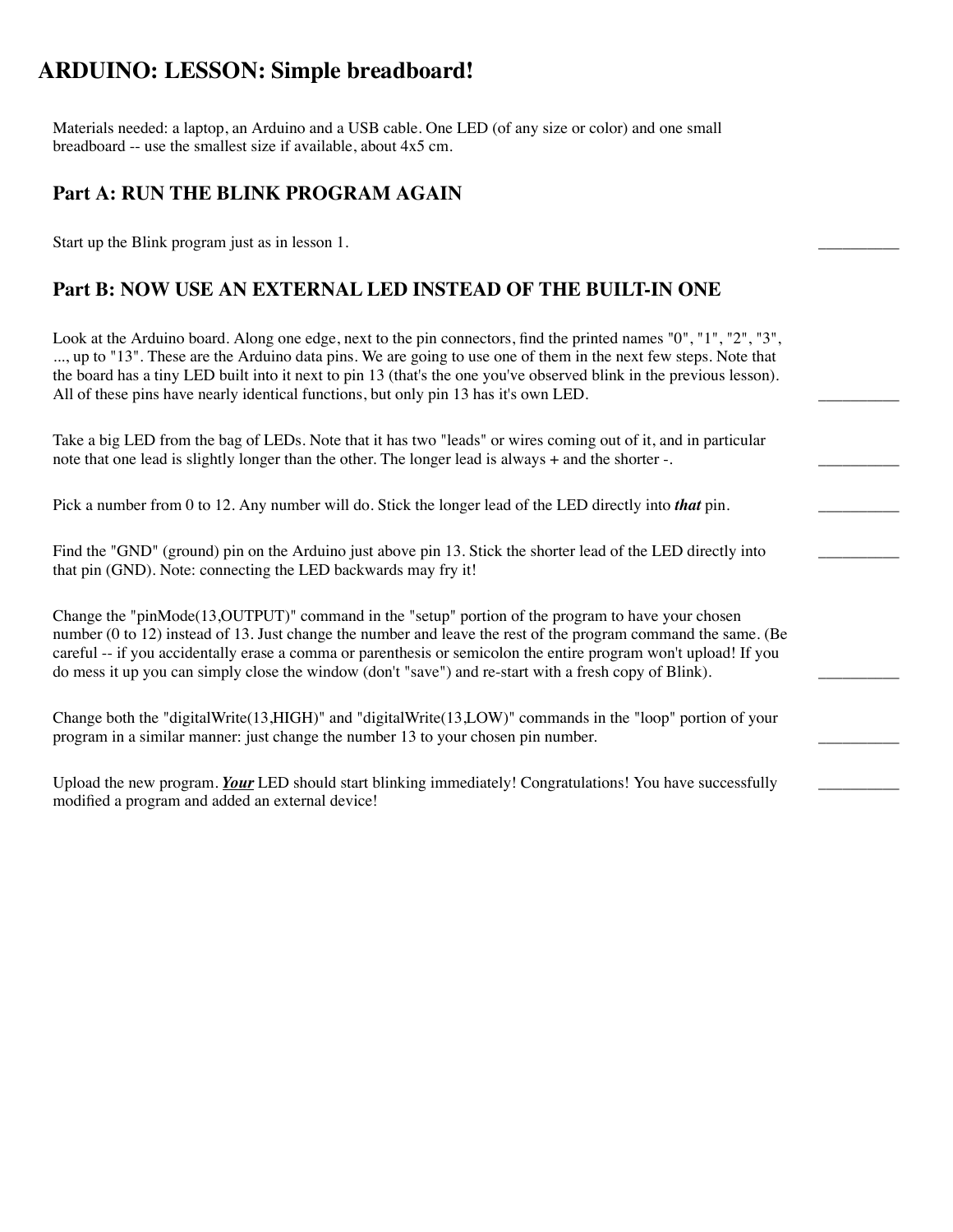# **ARDUINO: LESSON: Simple breadboard!**

Materials needed: a laptop, an Arduino and a USB cable. One LED (of any size or color) and one small breadboard -- use the smallest size if available, about 4x5 cm.

#### **Part A: RUN THE BLINK PROGRAM AGAIN**

Start up the Blink program just as in lesson 1.

# **Part B: NOW USE AN EXTERNAL LED INSTEAD OF THE BUILT-IN ONE**

Look at the Arduino board. Along one edge, next to the pin connectors, find the printed names "0", "1", "2", "3", ..., up to "13". These are the Arduino data pins. We are going to use one of them in the next few steps. Note that the board has a tiny LED built into it next to pin 13 (that's the one you've observed blink in the previous lesson). All of these pins have nearly identical functions, but only pin 13 has it's own LED.

Take a big LED from the bag of LEDs. Note that it has two "leads" or wires coming out of it, and in particular note that one lead is slightly longer than the other. The longer lead is always + and the shorter -.

Pick a number from 0 to 12. Any number will do. Stick the longer lead of the LED directly into *that* pin.

Find the "GND" (ground) pin on the Arduino just above pin 13. Stick the shorter lead of the LED directly into that pin (GND). Note: connecting the LED backwards may fry it!

 $\overline{\phantom{a}}$ 

 $\overline{\phantom{a}}$ 

Change the "pinMode(13,OUTPUT)" command in the "setup" portion of the program to have your chosen number (0 to 12) instead of 13. Just change the number and leave the rest of the program command the same. (Be careful -- if you accidentally erase a comma or parenthesis or semicolon the entire program won't upload! If you do mess it up you can simply close the window (don't "save") and re-start with a fresh copy of Blink).

Change both the "digitalWrite(13,HIGH)" and "digitalWrite(13,LOW)" commands in the "loop" portion of your program in a similar manner: just change the number 13 to your chosen pin number.

Upload the new program. *Your* LED should start blinking immediately! Congratulations! You have successfully modified a program and added an external device!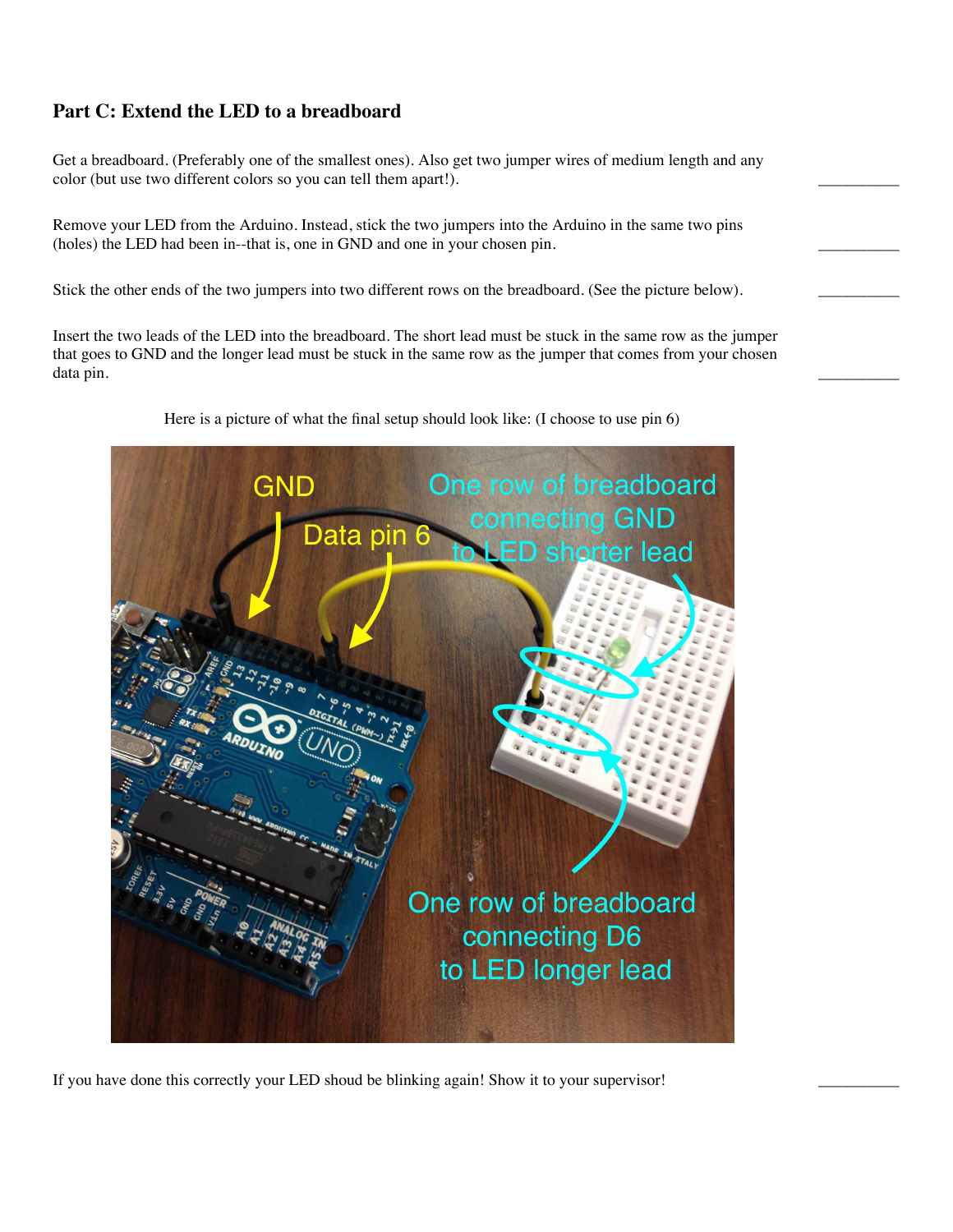# **Part C: Extend the LED to a breadboard**

Get a breadboard. (Preferably one of the smallest ones). Also get two jumper wires of medium length and any color (but use two different colors so you can tell them apart!).

Remove your LED from the Arduino. Instead, stick the two jumpers into the Arduino in the same two pins (holes) the LED had been in--that is, one in GND and one in your chosen pin.

Stick the other ends of the two jumpers into two different rows on the breadboard. (See the picture below).

Insert the two leads of the LED into the breadboard. The short lead must be stuck in the same row as the jumper that goes to GND and the longer lead must be stuck in the same row as the jumper that comes from your chosen data pin. \_\_\_\_\_\_\_\_\_\_



Here is a picture of what the final setup should look like: (I choose to use pin 6)

If you have done this correctly your LED shoud be blinking again! Show it to your supervisor!